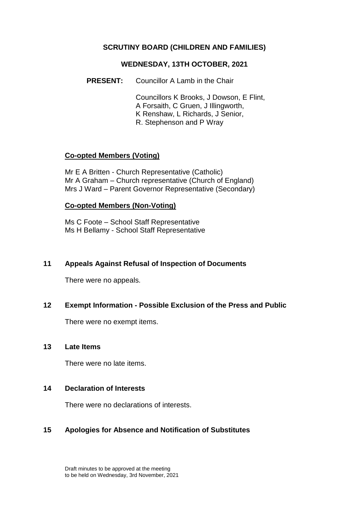### **SCRUTINY BOARD (CHILDREN AND FAMILIES)**

#### **WEDNESDAY, 13TH OCTOBER, 2021**

**PRESENT:** Councillor A Lamb in the Chair

Councillors K Brooks, J Dowson, E Flint, A Forsaith, C Gruen, J Illingworth, K Renshaw, L Richards, J Senior, R. Stephenson and P Wray

## **Co-opted Members (Voting)**

Mr E A Britten - Church Representative (Catholic) Mr A Graham – Church representative (Church of England) Mrs J Ward – Parent Governor Representative (Secondary)

### **Co-opted Members (Non-Voting)**

Ms C Foote – School Staff Representative Ms H Bellamy - School Staff Representative

### **11 Appeals Against Refusal of Inspection of Documents**

There were no appeals.

### **12 Exempt Information - Possible Exclusion of the Press and Public**

There were no exempt items.

#### **13 Late Items**

There were no late items.

### **14 Declaration of Interests**

There were no declarations of interests.

### **15 Apologies for Absence and Notification of Substitutes**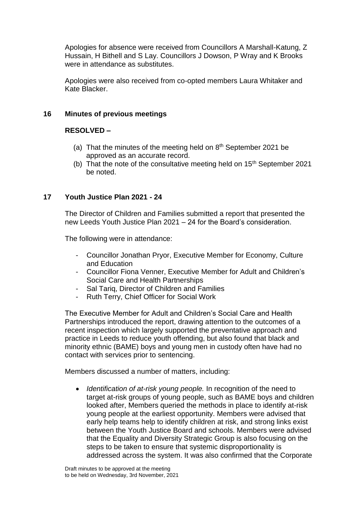Apologies for absence were received from Councillors A Marshall-Katung, Z Hussain, H Bithell and S Lay. Councillors J Dowson, P Wray and K Brooks were in attendance as substitutes.

Apologies were also received from co-opted members Laura Whitaker and Kate Blacker.

## **16 Minutes of previous meetings**

# **RESOLVED –**

- (a) That the minutes of the meeting held on  $8<sup>th</sup>$  September 2021 be approved as an accurate record.
- (b) That the note of the consultative meeting held on  $15<sup>th</sup>$  September 2021 be noted.

## **17 Youth Justice Plan 2021 - 24**

The Director of Children and Families submitted a report that presented the new Leeds Youth Justice Plan 2021 – 24 for the Board's consideration.

The following were in attendance:

- Councillor Jonathan Pryor, Executive Member for Economy, Culture and Education
- Councillor Fiona Venner, Executive Member for Adult and Children's Social Care and Health Partnerships
- Sal Tariq, Director of Children and Families
- Ruth Terry, Chief Officer for Social Work

The Executive Member for Adult and Children's Social Care and Health Partnerships introduced the report, drawing attention to the outcomes of a recent inspection which largely supported the preventative approach and practice in Leeds to reduce youth offending, but also found that black and minority ethnic (BAME) boys and young men in custody often have had no contact with services prior to sentencing.

Members discussed a number of matters, including:

 *Identification of at-risk young people.* In recognition of the need to target at-risk groups of young people, such as BAME boys and children looked after, Members queried the methods in place to identify at-risk young people at the earliest opportunity. Members were advised that early help teams help to identify children at risk, and strong links exist between the Youth Justice Board and schools. Members were advised that the Equality and Diversity Strategic Group is also focusing on the steps to be taken to ensure that systemic disproportionality is addressed across the system. It was also confirmed that the Corporate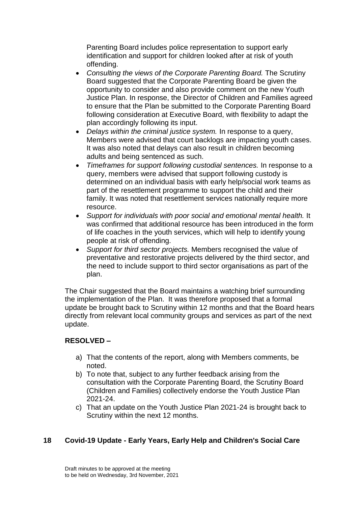Parenting Board includes police representation to support early identification and support for children looked after at risk of youth offending.

- *Consulting the views of the Corporate Parenting Board.* The Scrutiny Board suggested that the Corporate Parenting Board be given the opportunity to consider and also provide comment on the new Youth Justice Plan. In response, the Director of Children and Families agreed to ensure that the Plan be submitted to the Corporate Parenting Board following consideration at Executive Board, with flexibility to adapt the plan accordingly following its input.
- *Delays within the criminal justice system.* In response to a query, Members were advised that court backlogs are impacting youth cases. It was also noted that delays can also result in children becoming adults and being sentenced as such.
- *Timeframes for support following custodial sentences.* In response to a query, members were advised that support following custody is determined on an individual basis with early help/social work teams as part of the resettlement programme to support the child and their family. It was noted that resettlement services nationally require more resource.
- *Support for individuals with poor social and emotional mental health.* It was confirmed that additional resource has been introduced in the form of life coaches in the youth services, which will help to identify young people at risk of offending.
- *Support for third sector projects.* Members recognised the value of preventative and restorative projects delivered by the third sector, and the need to include support to third sector organisations as part of the plan.

The Chair suggested that the Board maintains a watching brief surrounding the implementation of the Plan. It was therefore proposed that a formal update be brought back to Scrutiny within 12 months and that the Board hears directly from relevant local community groups and services as part of the next update.

# **RESOLVED –**

- a) That the contents of the report, along with Members comments, be noted.
- b) To note that, subject to any further feedback arising from the consultation with the Corporate Parenting Board, the Scrutiny Board (Children and Families) collectively endorse the Youth Justice Plan 2021-24.
- c) That an update on the Youth Justice Plan 2021-24 is brought back to Scrutiny within the next 12 months.

# **18 Covid-19 Update - Early Years, Early Help and Children's Social Care**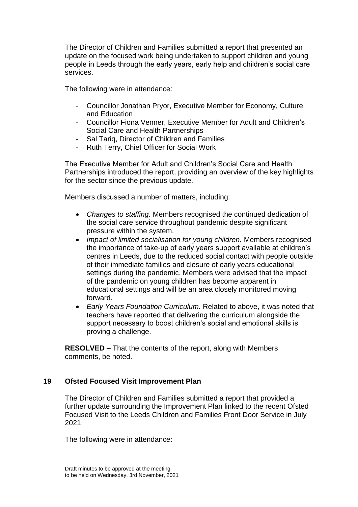The Director of Children and Families submitted a report that presented an update on the focused work being undertaken to support children and young people in Leeds through the early years, early help and children's social care services.

The following were in attendance:

- Councillor Jonathan Pryor, Executive Member for Economy, Culture and Education
- Councillor Fiona Venner, Executive Member for Adult and Children's Social Care and Health Partnerships
- Sal Tariq, Director of Children and Families
- Ruth Terry, Chief Officer for Social Work

The Executive Member for Adult and Children's Social Care and Health Partnerships introduced the report, providing an overview of the key highlights for the sector since the previous update.

Members discussed a number of matters, including:

- *Changes to staffing.* Members recognised the continued dedication of the social care service throughout pandemic despite significant pressure within the system.
- *Impact of limited socialisation for young children.* Members recognised the importance of take-up of early years support available at children's centres in Leeds, due to the reduced social contact with people outside of their immediate families and closure of early years educational settings during the pandemic. Members were advised that the impact of the pandemic on young children has become apparent in educational settings and will be an area closely monitored moving forward.
- *Early Years Foundation Curriculum.* Related to above, it was noted that teachers have reported that delivering the curriculum alongside the support necessary to boost children's social and emotional skills is proving a challenge.

**RESOLVED –** That the contents of the report, along with Members comments, be noted.

### **19 Ofsted Focused Visit Improvement Plan**

The Director of Children and Families submitted a report that provided a further update surrounding the Improvement Plan linked to the recent Ofsted Focused Visit to the Leeds Children and Families Front Door Service in July 2021.

The following were in attendance: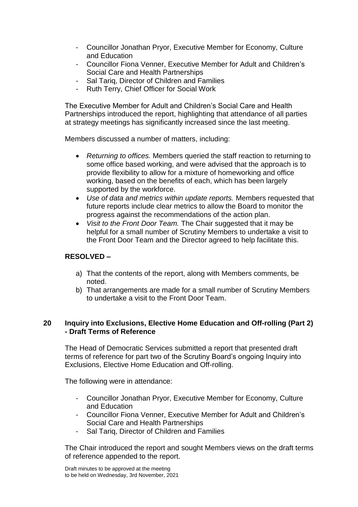- Councillor Jonathan Pryor, Executive Member for Economy, Culture and Education
- Councillor Fiona Venner, Executive Member for Adult and Children's Social Care and Health Partnerships
- Sal Tariq, Director of Children and Families
- Ruth Terry, Chief Officer for Social Work

The Executive Member for Adult and Children's Social Care and Health Partnerships introduced the report, highlighting that attendance of all parties at strategy meetings has significantly increased since the last meeting.

Members discussed a number of matters, including:

- *Returning to offices.* Members queried the staff reaction to returning to some office based working, and were advised that the approach is to provide flexibility to allow for a mixture of homeworking and office working, based on the benefits of each, which has been largely supported by the workforce.
- *Use of data and metrics within update reports.* Members requested that future reports include clear metrics to allow the Board to monitor the progress against the recommendations of the action plan.
- *Visit to the Front Door Team.* The Chair suggested that it may be helpful for a small number of Scrutiny Members to undertake a visit to the Front Door Team and the Director agreed to help facilitate this.

### **RESOLVED –**

- a) That the contents of the report, along with Members comments, be noted.
- b) That arrangements are made for a small number of Scrutiny Members to undertake a visit to the Front Door Team.

### **20 Inquiry into Exclusions, Elective Home Education and Off-rolling (Part 2) - Draft Terms of Reference**

The Head of Democratic Services submitted a report that presented draft terms of reference for part two of the Scrutiny Board's ongoing Inquiry into Exclusions, Elective Home Education and Off-rolling.

The following were in attendance:

- Councillor Jonathan Pryor, Executive Member for Economy, Culture and Education
- Councillor Fiona Venner, Executive Member for Adult and Children's Social Care and Health Partnerships
- Sal Tarig, Director of Children and Families

The Chair introduced the report and sought Members views on the draft terms of reference appended to the report.

Draft minutes to be approved at the meeting to be held on Wednesday, 3rd November, 2021